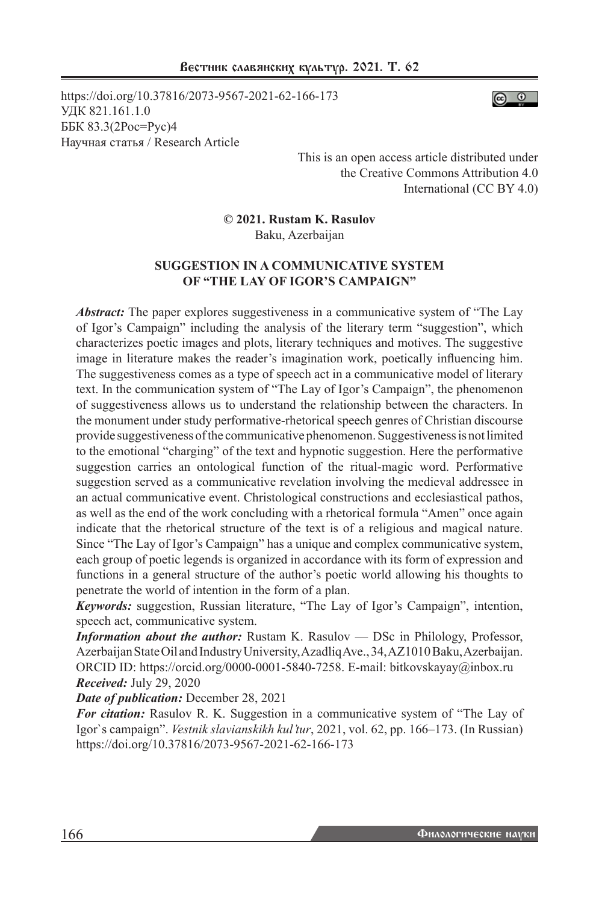https://doi.org/10.37816/2073-9567-2021-62-166-173 УДК 821.161.1.0 ББК 83.3(2Рос=Рус)4 Научная статья / Research Article



This is an open access article distributed under the Creative Commons Attribution 4.0 International (CC BY 4.0)

**© 2021. Rustam K. Rasulov**

Baku, Azerbaijan

## **SUGGESTION IN A COMMUNICATIVE SYSTEM OF "THE LAY OF IGOR'S CAMPAIGN"**

*Abstract:* The paper explores suggestiveness in a communicative system of "The Lay" of Igor's Campaign" including the analysis of the literary term "suggestion", which characterizes poetic images and plots, literary techniques and motives. The suggestive image in literature makes the reader's imagination work, poetically influencing him. The suggestiveness comes as a type of speech act in a communicative model of literary text. In the communication system of "The Lay of Igor's Campaign", the phenomenon of suggestiveness allows us to understand the relationship between the characters. In the monument under study performative-rhetorical speech genres of Christian discourse provide suggestiveness of the communicative phenomenon. Suggestiveness is not limited to the emotional "charging" of the text and hypnotic suggestion. Here the performative suggestion carries an ontological function of the ritual-magic word. Performative suggestion served as a communicative revelation involving the medieval addressee in an actual communicative event. Christological constructions and ecclesiastical pathos, as well as the end of the work concluding with a rhetorical formula "Amen" once again indicate that the rhetorical structure of the text is of a religious and magical nature. Since "The Lay of Igor's Campaign" has a unique and complex communicative system, each group of poetic legends is organized in accordance with its form of expression and functions in a general structure of the author's poetic world allowing his thoughts to penetrate the world of intention in the form of a plan.

*Keywords:* suggestion, Russian literature, "The Lay of Igor's Campaign", intention, speech act, communicative system.

*Information about the author:* Rustam K. Rasulov — DSc in Philology, Professor, Azerbaijan State Oil and Industry University, Azadliq Ave., 34, AZ1010 Baku, Azerbaijan. ORCID ID: https://orcid.org/0000-0001-5840-7258. E-mail: bitkovskayay@inbox.ru *Received:* July 29, 2020

*Date of publication:* December 28, 2021

*For citation:* Rasulov R. K. Suggestion in a communicative system of "The Lay of Igor`s campaign". *Vestnik slavianskikh kul'tur*, 2021, vol. 62, pp. 166–173. (In Russian) https://doi.org/10.37816/2073-9567-2021-62-166-173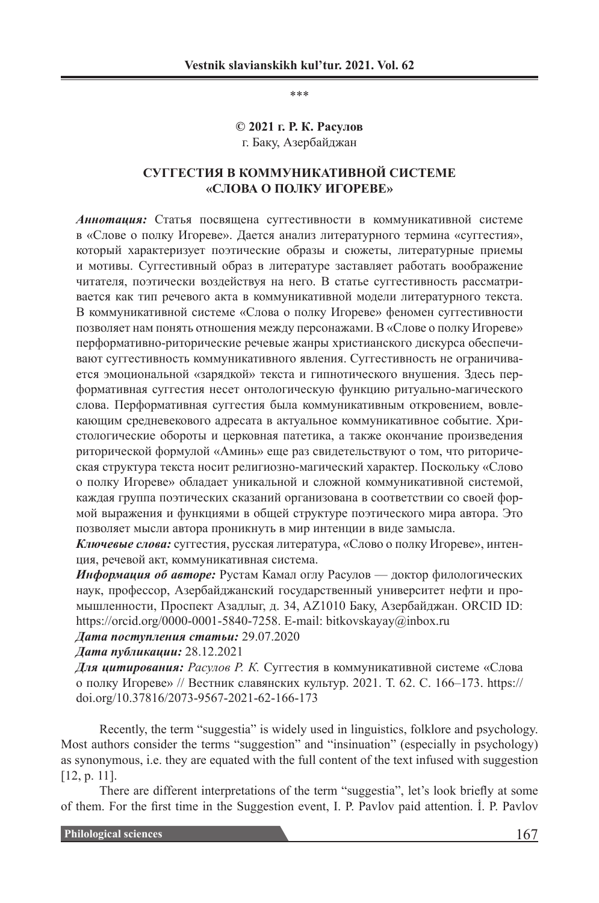\*\*\*

### **© 2021 г. Р. К. Расулов** г. Баку, Азербайджан

## **СУГГЕСТИЯ В КОММУНИКАТИВНОЙ СИСТЕМЕ «СЛОВА О ПОЛКУ ИГОРЕВЕ»**

*Аннотация:* Статья посвящена суггестивности в коммуникативной системе в «Слове о полку Игореве». Дается анализ литературного термина «суггестия», который характеризует поэтические образы и сюжеты, литературные приемы и мотивы. Суггестивный образ в литературе заставляет работать воображение читателя, поэтически воздействуя на него. В статье суггестивность рассматривается как тип речевого акта в коммуникативной модели литературного текста. В коммуникативной системе «Слова о полку Игореве» феномен суггестивности позволяет нам понять отношения между персонажами. В «Слове о полку Игореве» перформативно-риторические речевые жанры христианского дискурса обеспечивают суггестивность коммуникативного явления. Суггестивность не ограничивается эмоциональной «зарядкой» текста и гипнотического внушения. Здесь перформативная суггестия несет онтологическую функцию ритуально-магического слова. Перформативная суггестия была коммуникативным откровением, вовлекающим средневекового адресата в актуальное коммуникативное событие. Христологические обороты и церковная патетика, а также окончание произведения риторической формулой «Аминь» еще раз свидетельствуют о том, что риторическая структура текста носит религиозно-магический характер. Поскольку «Слово о полку Игореве» обладает уникальной и сложной коммуникативной системой, каждая группа поэтических сказаний организована в соответствии со своей формой выражения и функциями в общей структуре поэтического мира автора. Это позволяет мысли автора проникнуть в мир интенции в виде замысла.

*Ключевые слова:* суггестия, русская литература, «Слово о полку Игореве», интенция, речевой акт, коммуникативная система.

*Информация об авторе:* Рустам Камал оглу Расулов — доктор филологических наук, профессор, Азербайджанский государственный университет нефти и промышленности, Проспект Азадлыг, д. 34, AZ1010 Баку, Азербайджан. ORCID ID: https://orcid.org/0000-0001-5840-7258. E-mail: bitkovskayay@inbox.ru

*Дата поступления статьи:* 29.07.2020

*Дата публикации:* 28.12.2021

*Для цитирования: Расулов Р. К.* Суггестия в коммуникативной системе «Слова о полку Игореве» // Вестник славянских культур. 2021. Т. 62. С. 166–173. https:// doi.org/10.37816/2073-9567-2021-62-166-173

Recently, the term "suggestia" is widely used in linguistics, folklore and psychology. Most authors consider the terms "suggestion" and "insinuation" (especially in psychology) as synonymous, i.e. they are equated with the full content of the text infused with suggestion [12, p. 11].

There are different interpretations of the term "suggestia", let's look briefly at some of them. For the first time in the Suggestion event, I. P. Pavlov paid attention. İ. P. Pavlov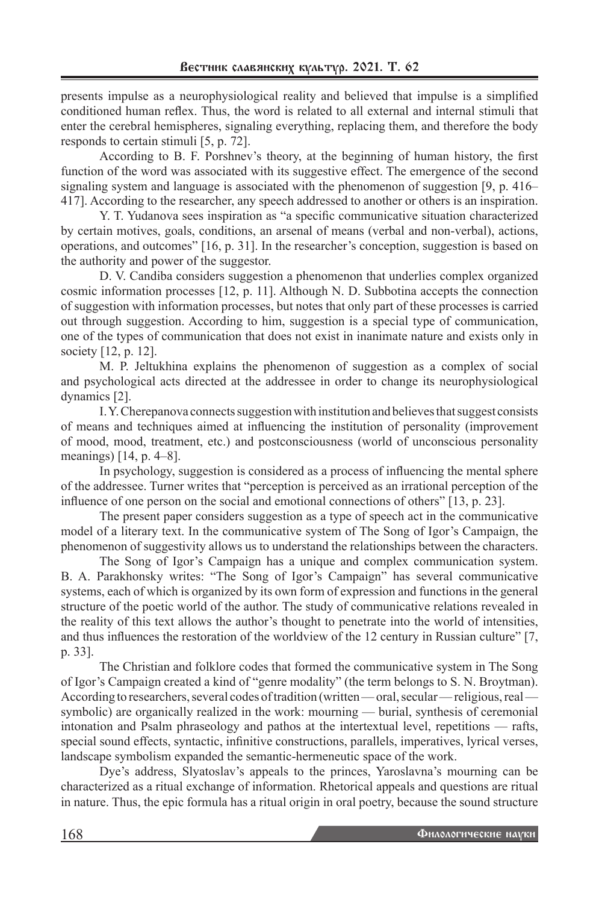presents impulse as a neurophysiological reality and believed that impulse is a simplified conditioned human reflex. Thus, the word is related to all external and internal stimuli that enter the cerebral hemispheres, signaling everything, replacing them, and therefore the body responds to certain stimuli [5, p. 72].

According to B. F. Porshnev's theory, at the beginning of human history, the first function of the word was associated with its suggestive effect. The emergence of the second signaling system and language is associated with the phenomenon of suggestion [9, p. 416– 417]. According to the researcher, any speech addressed to another or others is an inspiration.

Y. T. Yudanova sees inspiration as "a specific communicative situation characterized by certain motives, goals, conditions, an arsenal of means (verbal and non-verbal), actions, operations, and outcomes" [16, p. 31]. In the researcher's conception, suggestion is based on the authority and power of the suggestor.

D. V. Candiba considers suggestion a phenomenon that underlies complex organized cosmic information processes [12, p. 11]. Although N. D. Subbotina accepts the connection of suggestion with information processes, but notes that only part of these processes is carried out through suggestion. According to him, suggestion is a special type of communication, one of the types of communication that does not exist in inanimate nature and exists only in society [12, p. 12].

M. P. Jeltukhina explains the phenomenon of suggestion as a complex of social and psychological acts directed at the addressee in order to change its neurophysiological dynamics [2].

I. Y. Cherepanova connects suggestion with institution and believes that suggest consists of means and techniques aimed at influencing the institution of personality (improvement of mood, mood, treatment, etc.) and postconsciousness (world of unconscious personality meanings) [14, p. 4–8].

In psychology, suggestion is considered as a process of influencing the mental sphere of the addressee. Turner writes that "perception is perceived as an irrational perception of the influence of one person on the social and emotional connections of others" [13, p. 23].

The present paper considers suggestion as a type of speech act in the communicative model of a literary text. In the communicative system of The Song of Igor's Campaign, the phenomenon of suggestivity allows us to understand the relationships between the characters.

The Song of Igor's Campaign has a unique and complex communication system. B. A. Parakhonsky writes: "The Song of Igor's Campaign" has several communicative systems, each of which is organized by its own form of expression and functions in the general structure of the poetic world of the author. The study of communicative relations revealed in the reality of this text allows the author's thought to penetrate into the world of intensities, and thus influences the restoration of the worldview of the 12 century in Russian culture" [7, p. 33].

The Christian and folklore codes that formed the communicative system in The Song of Igor's Campaign created a kind of "genre modality" (the term belongs to S. N. Broytman). According to researchers, several codes of tradition (written — oral, secular — religious, real – symbolic) are organically realized in the work: mourning — burial, synthesis of ceremonial intonation and Psalm phraseology and pathos at the intertextual level, repetitions — rafts, special sound effects, syntactic, infinitive constructions, parallels, imperatives, lyrical verses, landscape symbolism expanded the semantic-hermeneutic space of the work.

Dye's address, Slyatoslav's appeals to the princes, Yaroslavna's mourning can be characterized as a ritual exchange of information. Rhetorical appeals and questions are ritual in nature. Thus, the epic formula has a ritual origin in oral poetry, because the sound structure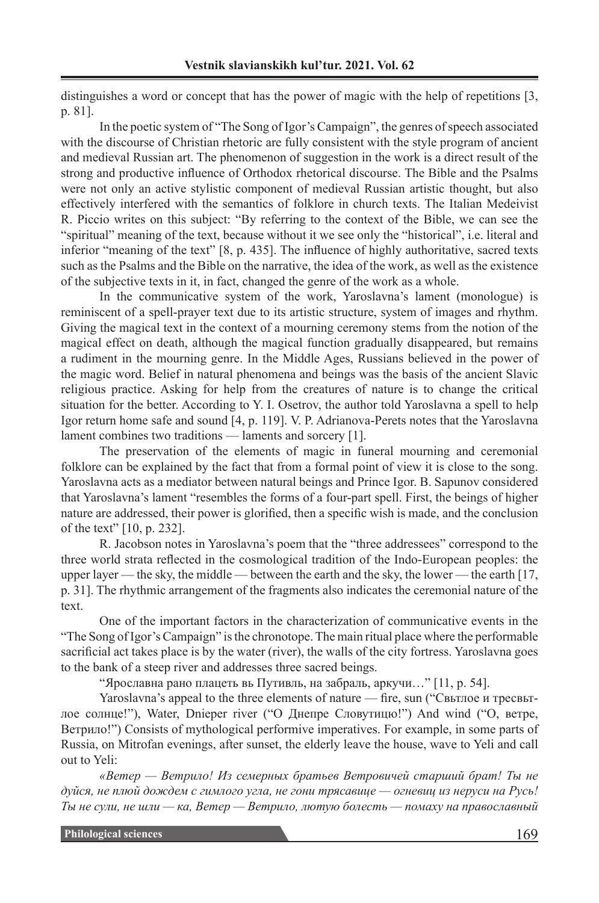distinguishes a word or concept that has the power of magic with the help of repetitions [3, p. 81].

In the poetic system of "The Song of Igor's Campaign", the genres of speech associated with the discourse of Christian rhetoric are fully consistent with the style program of ancient and medieval Russian art. The phenomenon of suggestion in the work is a direct result of the strong and productive influence of Orthodox rhetorical discourse. The Bible and the Psalms were not only an active stylistic component of medieval Russian artistic thought, but also effectively interfered with the semantics of folklore in church texts. The Italian Medeivist R. Piccio writes on this subject: "By referring to the context of the Bible, we can see the "spiritual" meaning of the text, because without it we see only the "historical", i.e. literal and inferior "meaning of the text" [8, p. 435]. The influence of highly authoritative, sacred texts such as the Psalms and the Bible on the narrative, the idea of the work, as well as the existence of the subjective texts in it, in fact, changed the genre of the work as a whole.

In the communicative system of the work, Yaroslavna's lament (monologue) is reminiscent of a spell-prayer text due to its artistic structure, system of images and rhythm. Giving the magical text in the context of a mourning ceremony stems from the notion of the magical effect on death, although the magical function gradually disappeared, but remains a rudiment in the mourning genre. In the Middle Ages, Russians believed in the power of the magic word. Belief in natural phenomena and beings was the basis of the ancient Slavic religious practice. Asking for help from the creatures of nature is to change the critical situation for the better. According to Y. I. Osetrov, the author told Yaroslavna a spell to help Igor return home safe and sound [4, p. 119]. V. P. Adrianova-Perets notes that the Yaroslavna lament combines two traditions — laments and sorcery [1].

The preservation of the elements of magic in funeral mourning and ceremonial folklore can be explained by the fact that from a formal point of view it is close to the song. Yaroslavna acts as a mediator between natural beings and Prince Igor. B. Sapunov considered that Yaroslavna's lament "resembles the forms of a four-part spell. First, the beings of higher nature are addressed, their power is glorified, then a specific wish is made, and the conclusion of the text" [10, p. 232].

R. Jacobson notes in Yaroslavna's poem that the "three addressees" correspond to the three world strata reflected in the cosmological tradition of the Indo-European peoples: the upper layer — the sky, the middle — between the earth and the sky, the lower — the earth [17, p. 31]. The rhythmic arrangement of the fragments also indicates the ceremonial nature of the text.

One of the important factors in the characterization of communicative events in the "The Song of Igor's Campaign" is the chronotope. The main ritual place where the performable sacrificial act takes place is by the water (river), the walls of the city fortress. Yaroslavna goes to the bank of a steep river and addresses three sacred beings.

"Ярославна рано плацеть вь Путивль, на забраль, аркучи…" [11, p. 54].

Yaroslavna's appeal to the three elements of nature — fire, sun ("Свьтлое и тресвьтлое солнце!"), Water, Dnieper river ("О Днепре Словутицю!") And wind ("О, ветре, Ветрило!") Consists of mythological performive imperatives. For example, in some parts of Russia, on Mitrofan evenings, after sunset, the elderly leave the house, wave to Yeli and call out to Yeli:

*«Ветер — Ветрило! Из семерных братьев Ветровичей старший брат! Ты не дуйся, не плюй дождем с гимлого угла, не гони трясавице — огневиц из неруси на Русь! Ты не сули, не шли — ка, Ветер — Ветрило, лютую болесть — помаху на православный*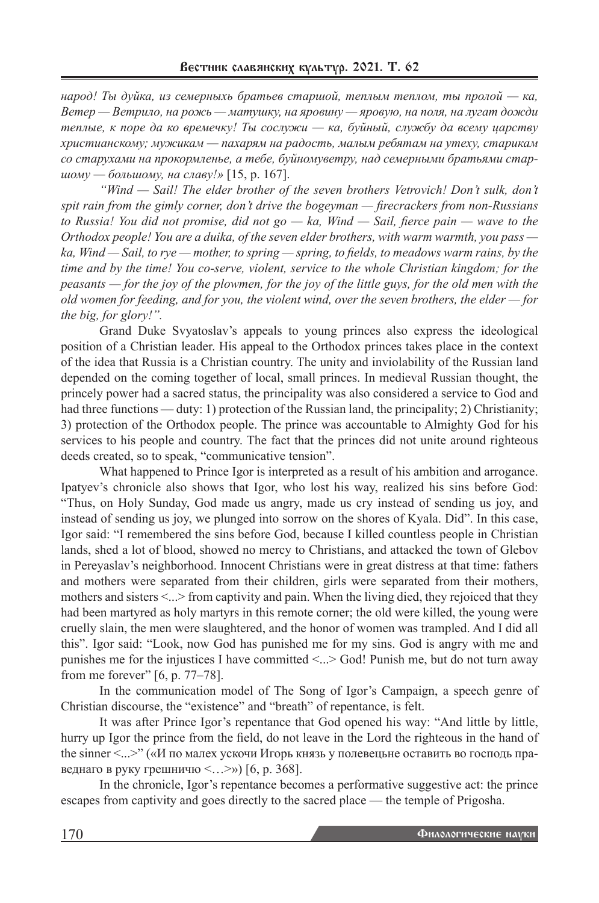*народ! Ты дуйка, из семерныхь братьев старшой, теплым теплом, ты пролой — ка, Ветер — Ветрило, на рожь — матушку, на яровину — яровую, на поля, на лугат дожди теплые, к поре да ко времечку! Ты сослужи — ка, буйный, службу да всему царству христианскому; мужикам — пахарям на радость, малым ребятам на утеху, старикам со старухами на прокормленье, а тебе, буйномуветру, над семерными братьями старшому — большому, на славу!»* [15, p. 167].

*"Wind — Sail! The elder brother of the seven brothers Vetrovich! Don't sulk, don't spit rain from the gimly corner, don't drive the bogeyman — firecrackers from non-Russians to Russia! You did not promise, did not go — ka, Wind — Sail, fierce pain — wave to the Orthodox people! You are a duika, of the seven elder brothers, with warm warmth, you pass ka, Wind — Sail, to rye — mother, to spring — spring, to fields, to meadows warm rains, by the time and by the time! You co-serve, violent, service to the whole Christian kingdom; for the peasants — for the joy of the plowmen, for the joy of the little guys, for the old men with the old women for feeding, and for you, the violent wind, over the seven brothers, the elder — for the big, for glory!".*

Grand Duke Svyatoslav's appeals to young princes also express the ideological position of a Christian leader. His appeal to the Orthodox princes takes place in the context of the idea that Russia is a Christian country. The unity and inviolability of the Russian land depended on the coming together of local, small princes. In medieval Russian thought, the princely power had a sacred status, the principality was also considered a service to God and had three functions — duty: 1) protection of the Russian land, the principality; 2) Christianity; 3) protection of the Orthodox people. The prince was accountable to Almighty God for his services to his people and country. The fact that the princes did not unite around righteous deeds created, so to speak, "communicative tension".

What happened to Prince Igor is interpreted as a result of his ambition and arrogance. Ipatyev's chronicle also shows that Igor, who lost his way, realized his sins before God: "Thus, on Holy Sunday, God made us angry, made us cry instead of sending us joy, and instead of sending us joy, we plunged into sorrow on the shores of Kyala. Did". In this case, Igor said: "I remembered the sins before God, because I killed countless people in Christian lands, shed a lot of blood, showed no mercy to Christians, and attacked the town of Glebov in Pereyaslav's neighborhood. Innocent Christians were in great distress at that time: fathers and mothers were separated from their children, girls were separated from their mothers, mothers and sisters  $\leq$ ...> from captivity and pain. When the living died, they rejoiced that they had been martyred as holy martyrs in this remote corner; the old were killed, the young were cruelly slain, the men were slaughtered, and the honor of women was trampled. And I did all this". Igor said: "Look, now God has punished me for my sins. God is angry with me and punishes me for the injustices I have committed  $\leq$ ...> God! Punish me, but do not turn away from me forever" [6, p. 77–78].

In the communication model of The Song of Igor's Campaign, a speech genre of Christian discourse, the "existence" and "breath" of repentance, is felt.

It was after Prince Igor's repentance that God opened his way: "And little by little, hurry up Igor the prince from the field, do not leave in the Lord the righteous in the hand of the sinner <...>" («И по малех ускочи Игорь князь у полевецьне оставить во господь праведнаго в руку грешничю  $\langle \dots \rangle$ ) [6, р. 368].

In the chronicle, Igor's repentance becomes a performative suggestive act: the prince escapes from captivity and goes directly to the sacred place — the temple of Prigosha.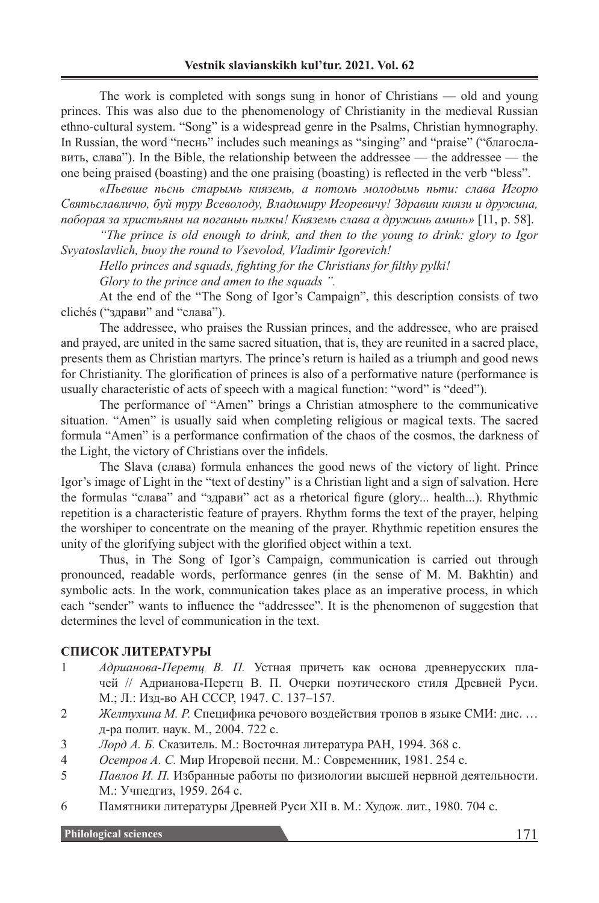The work is completed with songs sung in honor of Christians — old and young princes. This was also due to the phenomenology of Christianity in the medieval Russian ethno-cultural system. "Song" is a widespread genre in the Psalms, Christian hymnography. In Russian, the word "песнь" includes such meanings as "singing" and "praise" ("благославить, слава"). In the Bible, the relationship between the addressee — the addressee — the one being praised (boasting) and the one praising (boasting) is reflected in the verb "bless".

*«Пьевше пьснь старымь княземь, а потомь молодымь пьти: слава Игорю Святьславличю, буй туру Всеволоду, Владимиру Игоревичу! Здравии князи и дружина, поборая за христьяны на поганыь пьлкы! Княземь слава а дружинь аминь»* [11, p. 58].

*"The prince is old enough to drink, and then to the young to drink: glory to Igor Svyatoslavlich, buoy the round to Vsevolod, Vladimir Igorevich!*

*Hello princes and squads, fighting for the Christians for filthy pylki!*

*Glory to the prince and amen to the squads ".*

At the end of the "The Song of Igor's Campaign", this description consists of two clichés ("здрави" and "слава").

The addressee, who praises the Russian princes, and the addressee, who are praised and prayed, are united in the same sacred situation, that is, they are reunited in a sacred place, presents them as Christian martyrs. The prince's return is hailed as a triumph and good news for Christianity. The glorification of princes is also of a performative nature (performance is usually characteristic of acts of speech with a magical function: "word" is "deed").

The performance of "Amen" brings a Christian atmosphere to the communicative situation. "Amen" is usually said when completing religious or magical texts. The sacred formula "Amen" is a performance confirmation of the chaos of the cosmos, the darkness of the Light, the victory of Christians over the infidels.

The Slava (cлава) formula enhances the good news of the victory of light. Prince Igor's image of Light in the "text of destiny" is a Christian light and a sign of salvation. Here the formulas "cлава" and "здрави" act as a rhetorical figure (glory... health...). Rhythmic repetition is a characteristic feature of prayers. Rhythm forms the text of the prayer, helping the worshiper to concentrate on the meaning of the prayer. Rhythmic repetition ensures the unity of the glorifying subject with the glorified object within a text.

Thus, in The Song of Igor's Campaign, communication is carried out through pronounced, readable words, performance genres (in the sense of M. M. Bakhtin) and symbolic acts. In the work, communication takes place as an imperative process, in which each "sender" wants to influence the "addressee". It is the phenomenon of suggestion that determines the level of communication in the text.

#### **СПИСОК ЛИТЕРАТУРЫ**

- 1 *Адрианова-Перетц В. П.* Устная причеть как основа древнерусских плачей // Адрианова-Перетц В. П. Очерки поэтического стиля Древней Руси. М.; Л.: Изд-во АН СССР, 1947. С. 137–157.
- 2 *Желтухина М. Р.* Специфика речового воздействия тропов в языке СМИ: дис. … д-ра полит. наук. М., 2004. 722 с.
- 3 *Лорд А. Б.* Сказитель. М.: Восточная литература РАН, 1994. 368 с.
- 4 *Осетров А. С.* Мир Игоревой песни. М.: Современник, 1981. 254 с.
- 5 *Павлов И. П.* Избранные работы по физиологии высшей нервной деятельности. М.: Учпедгиз, 1959. 264 с.
- 6 Памятники литературы Древней Руси XII в. М.: Худож. лит., 1980. 704 с.

**Philological sciences** 171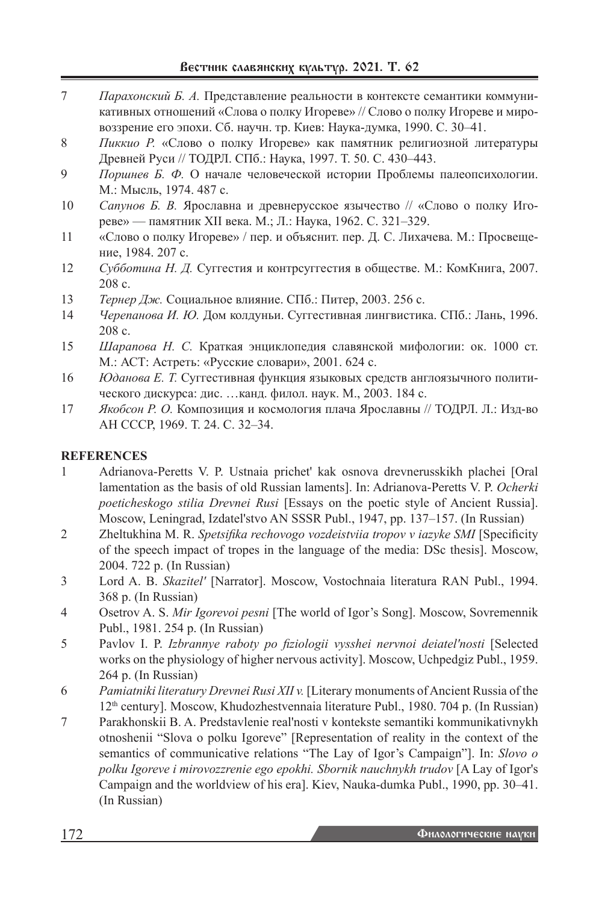- 7 *Парахонский Б. А.* Представление реальности в контексте семантики коммуникативных отношений «Слова о полку Игореве» // Слово о полку Игореве и мировоззрение его эпохи. Сб. научн. тр. Киев: Наука-думка, 1990. С. 30–41.
- 8 *Пиккио Р.* «Слово о полку Игореве» как памятник религиозной литературы Древней Руси // ТОДРЛ. СПб.: Наука, 1997. Т. 50. С. 430–443.
- 9 *Поршнев Б. Ф.* О начале человеческой истории Проблемы палеопсихологии. М.: Мысль, 1974. 487 с.
- 10 *Сапунов Б. В.* Ярославна и древнерусское язычество // «Слово о полку Игореве» — памятник ХII века. М.; Л.: Наука, 1962. С. 321–329.
- 11 «Слово о полку Игореве» / пер. и объяснит. пер. Д. С. Лихачева. М.: Просвещение, 1984. 207 с.
- 12 *Субботина Н. Д.* Суггестия и контрсуггестия в обществе. М.: КомКнига, 2007. 208 с.
- 13 *Тернер Дж.* Социальное влияние. СПб.: Питер, 2003. 256 с.
- 14 *Черепанова И. Ю.* Дом колдуньи. Суггестивная лингвистика. СПб.: Лань, 1996. 208 с.
- 15 *Шарапова Н. С.* Краткая энциклопедия славянской мифологии: ок. 1000 ст. М.: АСТ: Астреть: «Русские словари», 2001. 624 с.
- 16 *Юданова Е. Т.* Суггестивная функция языковых средств англоязычного политического дискурса: дис. …канд. филол. наук. М., 2003. 184 с.
- 17 *Якобсон Р. О.* Композиция и космология плача Ярославны // ТОДРЛ. Л.: Изд-во АН СССР, 1969. Т. 24. С. 32–34.

# **REFERENCES**

- 1 Adrianova-Peretts V. P. Ustnaia prichet' kak osnova drevnerusskikh plachei [Oral lamentation as the basis of old Russian laments]. In: Adrianova-Peretts V. P. *Ocherki poeticheskogo stilia Drevnei Rusi* [Essays on the poetic style of Ancient Russia]. Moscow, Leningrad, Izdatel'stvo AN SSSR Publ., 1947, pp. 137–157. (In Russian)
- 2 Zheltukhina M. R. *Spetsifika rechovogo vozdeistviia tropov v iazyke SMI* [Specificity of the speech impact of tropes in the language of the media: DSc thesis]. Moscow, 2004. 722 p. (In Russian)
- 3 Lord A. B. *Skazitel'* [Narrator]. Moscow, Vostochnaia literatura RAN Publ., 1994. 368 p. (In Russian)
- 4 Osetrov A. S. *Mir Igorevoi pesni* [The world of Igor's Song]. Moscow, Sovremennik Publ., 1981. 254 p. (In Russian)
- 5 Pavlov I. P. *Izbrannye raboty po fiziologii vysshei nervnoi deiatel'nosti* [Selected works on the physiology of higher nervous activity]. Moscow, Uchpedgiz Publ., 1959. 264 p. (In Russian)
- 6 *Pamiatniki literatury Drevnei Rusi XII v.* [Literary monuments of Ancient Russia of the 12th century]. Moscow, Khudozhestvennaia literature Publ., 1980. 704 p. (In Russian)
- 7 Parakhonskii B. A. Predstavlenie real'nosti v kontekste semantiki kommunikativnykh otnoshenii "Slova o polku Igoreve" [Representation of reality in the context of the semantics of communicative relations "The Lay of Igor's Campaign"]. In: *Slovo o polku Igoreve i mirovozzrenie ego epokhi. Sbornik nauchnykh trudov* [A Lay of Igor's Campaign and the worldview of his era]. Kiev, Nauka-dumka Publ., 1990, pp. 30–41. (In Russian)